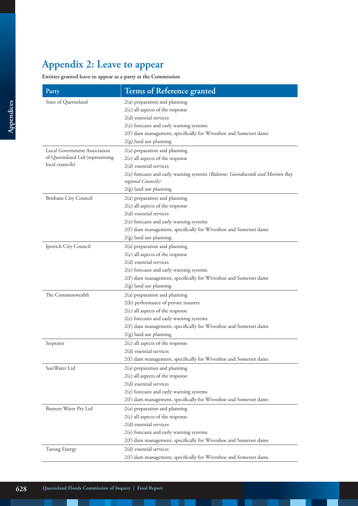## **Appendix 2: Leave to appear**

## **Entities granted leave to appear as a party at the Commission**

| Party                           | Terms of Reference granted                                                                           |
|---------------------------------|------------------------------------------------------------------------------------------------------|
| State of Queensland             | 2(a) preparation and planning                                                                        |
|                                 | 2(c) all aspects of the response                                                                     |
|                                 | $2(d)$ essential services                                                                            |
|                                 | 2(e) forecasts and early warning systems                                                             |
|                                 | 2(f) dam management, specifically for Wivenhoe and Somerset dams                                     |
|                                 | 2(g) land use planning                                                                               |
| Local Government Association    | $2(a)$ preparation and planning                                                                      |
| of Queensland Ltd (representing | 2(c) all aspects of the response                                                                     |
| local councils)                 | $2(d)$ essential services                                                                            |
|                                 | 2(e) forecasts and early warning systems (Balonne, Goondiwindi and Moreton Bay<br>regional Councils) |
|                                 | 2(g) land use planning                                                                               |
| Brisbane City Council           | 2(a) preparation and planning                                                                        |
|                                 | 2(c) all aspects of the response                                                                     |
|                                 | $2(d)$ essential services                                                                            |
|                                 | 2(e) forecasts and early warning systems                                                             |
|                                 | 2(f) dam management, specifically for Wivenhoe and Somerset dams                                     |
|                                 | 2(g) land use planning                                                                               |
| Ipswich City Council            | $2(a)$ preparation and planning                                                                      |
|                                 | 2(c) all aspects of the response                                                                     |
|                                 | $2(d)$ essential services                                                                            |
|                                 | 2(e) forecasts and early warning systems                                                             |
|                                 | 2(f) dam management, specifically for Wivenhoe and Somerset dams                                     |
|                                 | 2(g) land use planning                                                                               |
| The Commonwealth                | 2(a) preparation and planning                                                                        |
|                                 | 2(b) performance of private insurers                                                                 |
|                                 | 2(c) all aspects of the response                                                                     |
|                                 | 2(e) forecasts and early warning systems                                                             |
|                                 | 2(f) dam management, specifically for Wivenhoe and Somerset dams                                     |
|                                 | 2(g) land use planning                                                                               |
| Seqwater                        | 2(c) all aspects of the response                                                                     |
|                                 | 2(d) essential services                                                                              |
|                                 | 2(f) dam management, specifically for Wivenhoe and Somerset dams                                     |
| Sun Water Ltd                   | 2(a) preparation and planning                                                                        |
|                                 | 2(c) all aspects of the response                                                                     |
|                                 | 2(d) essential services                                                                              |
|                                 | 2(e) forecasts and early warning systems                                                             |
|                                 | 2(f) dam management, specifically for Wivenhoe and Somerset dams                                     |
| Burnett Water Pty Ltd           | 2(a) preparation and planning                                                                        |
|                                 | $2(c)$ all aspects of the response                                                                   |
|                                 | 2(d) essential services                                                                              |
|                                 | 2(e) forecasts and early warning systems                                                             |
|                                 | 2(f) dam management, specifically for Wivenhoe and Somerset dams                                     |
| <b>Tarong Energy</b>            | 2(d) essential services                                                                              |
|                                 | 2(f) dam management, specifically for Wivenhoe and Somerset dams                                     |